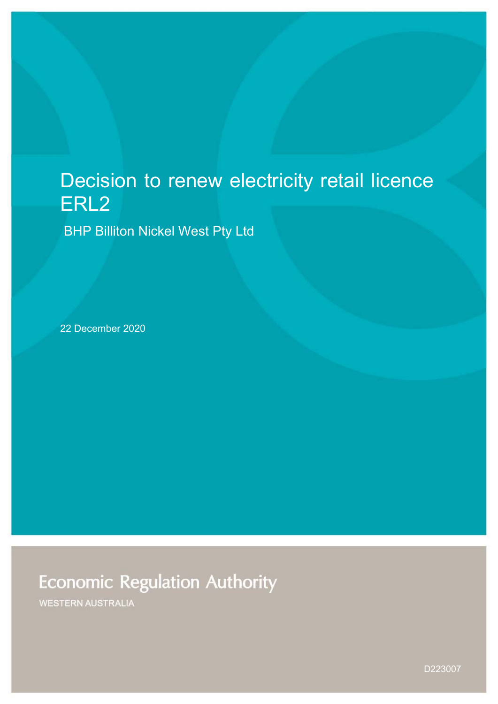# Decision to renew electricity retail licence ERL2

BHP Billiton Nickel West Pty Ltd

22 December 2020

# **Economic Regulation Authority**

**WESTERN AUSTRALIA** 

D223007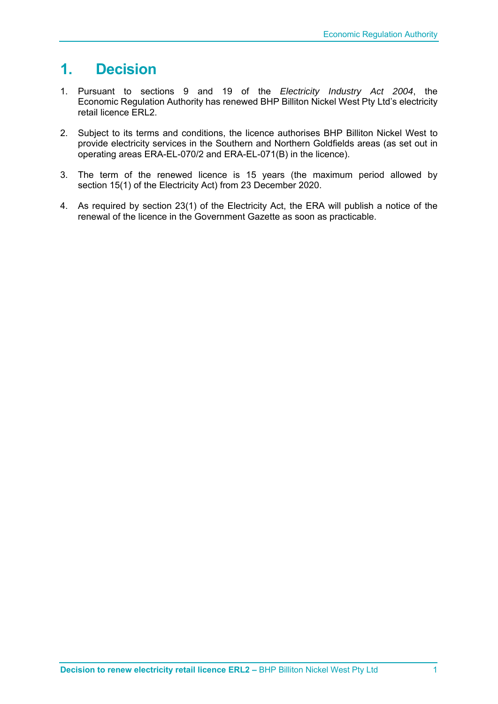## **1. Decision**

- 1. Pursuant to sections 9 and 19 of the *Electricity Industry Act 2004*, the Economic Regulation Authority has renewed BHP Billiton Nickel West Pty Ltd's electricity retail licence ERL2.
- 2. Subject to its terms and conditions, the licence authorises BHP Billiton Nickel West to provide electricity services in the Southern and Northern Goldfields areas (as set out in operating areas ERA-EL-070/2 and ERA-EL-071(B) in the licence).
- 3. The term of the renewed licence is 15 years (the maximum period allowed by section 15(1) of the Electricity Act) from 23 December 2020.
- 4. As required by section 23(1) of the Electricity Act, the ERA will publish a notice of the renewal of the licence in the Government Gazette as soon as practicable.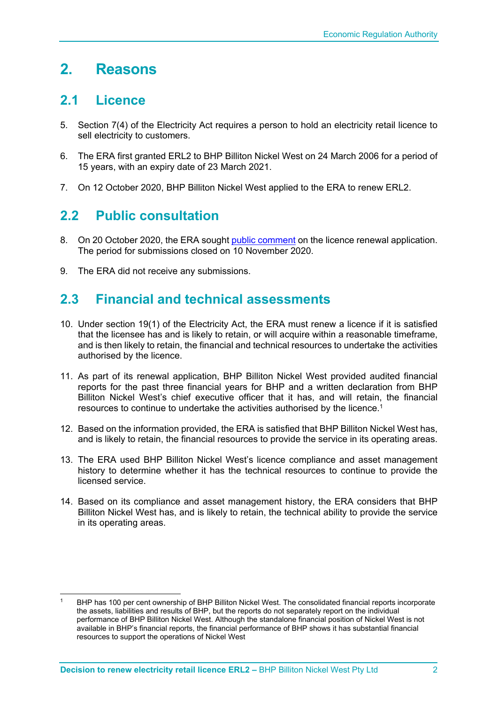## **2. Reasons**

### **2.1 Licence**

- 5. Section 7(4) of the Electricity Act requires a person to hold an electricity retail licence to sell electricity to customers.
- 6. The ERA first granted ERL2 to BHP Billiton Nickel West on 24 March 2006 for a period of 15 years, with an expiry date of 23 March 2021.
- 7. On 12 October 2020, BHP Billiton Nickel West applied to the ERA to renew ERL2.

## **2.2 Public consultation**

- 8. On 20 October 2020, the ERA sought public comment on the licence renewal application. The period for submissions closed on 10 November 2020.
- 9. The ERA did not receive any submissions.

### **2.3 Financial and technical assessments**

- 10. Under section 19(1) of the Electricity Act, the ERA must renew a licence if it is satisfied that the licensee has and is likely to retain, or will acquire within a reasonable timeframe, and is then likely to retain, the financial and technical resources to undertake the activities authorised by the licence.
- 11. As part of its renewal application, BHP Billiton Nickel West provided audited financial reports for the past three financial years for BHP and a written declaration from BHP Billiton Nickel West's chief executive officer that it has, and will retain, the financial resources to continue to undertake the activities authorised by the licence.1
- 12. Based on the information provided, the ERA is satisfied that BHP Billiton Nickel West has, and is likely to retain, the financial resources to provide the service in its operating areas.
- 13. The ERA used BHP Billiton Nickel West's licence compliance and asset management history to determine whether it has the technical resources to continue to provide the licensed service.
- 14. Based on its compliance and asset management history, the ERA considers that BHP Billiton Nickel West has, and is likely to retain, the technical ability to provide the service in its operating areas.

BHP has 100 per cent ownership of BHP Billiton Nickel West. The consolidated financial reports incorporate the assets, liabilities and results of BHP, but the reports do not separately report on the individual performance of BHP Billiton Nickel West. Although the standalone financial position of Nickel West is not available in BHP's financial reports, the financial performance of BHP shows it has substantial financial resources to support the operations of Nickel West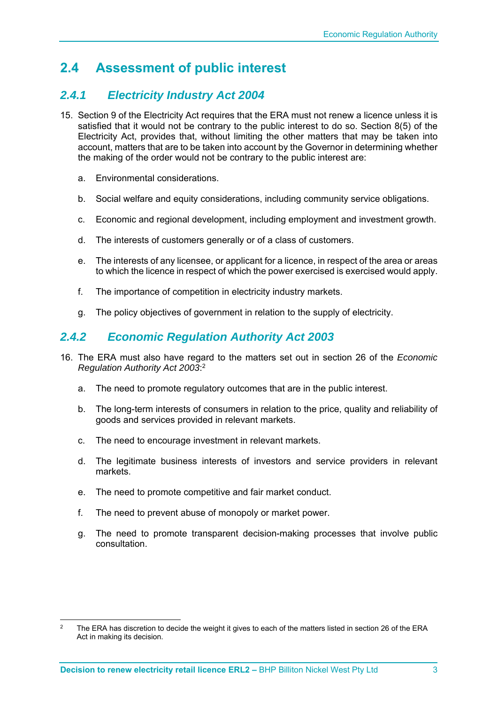## **2.4 Assessment of public interest**

#### *2.4.1 Electricity Industry Act 2004*

- 15. Section 9 of the Electricity Act requires that the ERA must not renew a licence unless it is satisfied that it would not be contrary to the public interest to do so. Section 8(5) of the Electricity Act, provides that, without limiting the other matters that may be taken into account, matters that are to be taken into account by the Governor in determining whether the making of the order would not be contrary to the public interest are:
	- a. Environmental considerations.
	- b. Social welfare and equity considerations, including community service obligations.
	- c. Economic and regional development, including employment and investment growth.
	- d. The interests of customers generally or of a class of customers.
	- e. The interests of any licensee, or applicant for a licence, in respect of the area or areas to which the licence in respect of which the power exercised is exercised would apply.
	- f. The importance of competition in electricity industry markets.
	- g. The policy objectives of government in relation to the supply of electricity.

#### *2.4.2 Economic Regulation Authority Act 2003*

- 16. The ERA must also have regard to the matters set out in section 26 of the *Economic Regulation Authority Act 2003*: 2
	- a. The need to promote regulatory outcomes that are in the public interest.
	- b. The long-term interests of consumers in relation to the price, quality and reliability of goods and services provided in relevant markets.
	- c. The need to encourage investment in relevant markets.
	- d. The legitimate business interests of investors and service providers in relevant markets.
	- e. The need to promote competitive and fair market conduct.
	- f. The need to prevent abuse of monopoly or market power.
	- g. The need to promote transparent decision-making processes that involve public consultation.

<sup>&</sup>lt;sup>2</sup> The ERA has discretion to decide the weight it gives to each of the matters listed in section 26 of the ERA Act in making its decision.